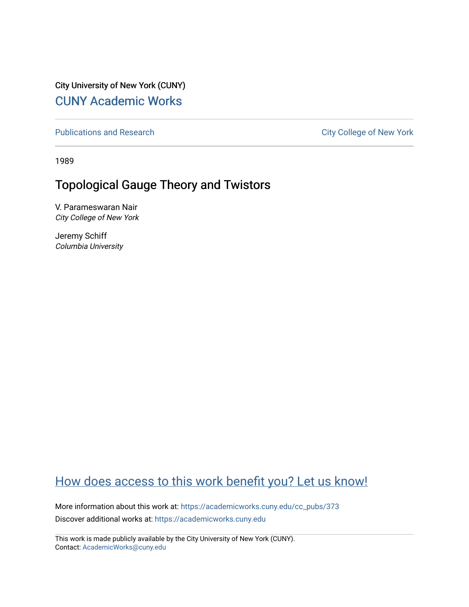City University of New York (CUNY) [CUNY Academic Works](https://academicworks.cuny.edu/) 

[Publications and Research](https://academicworks.cuny.edu/cc_pubs) **City College of New York** Publications and Research

1989

# Topological Gauge Theory and Twistors

V. Parameswaran Nair City College of New York

Jeremy Schiff Columbia University

# [How does access to this work benefit you? Let us know!](http://ols.cuny.edu/academicworks/?ref=https://academicworks.cuny.edu/cc_pubs/373)

More information about this work at: [https://academicworks.cuny.edu/cc\\_pubs/373](https://academicworks.cuny.edu/cc_pubs/373)  Discover additional works at: [https://academicworks.cuny.edu](https://academicworks.cuny.edu/?)

This work is made publicly available by the City University of New York (CUNY). Contact: [AcademicWorks@cuny.edu](mailto:AcademicWorks@cuny.edu)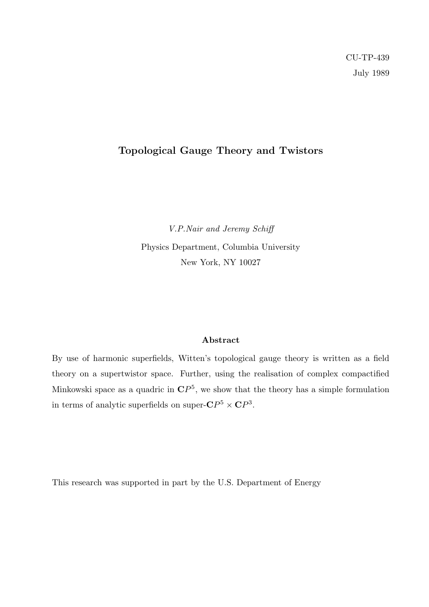### Topological Gauge Theory and Twistors

V.P.Nair and Jeremy Schiff Physics Department, Columbia University New York, NY 10027

#### Abstract

By use of harmonic superfields, Witten's topological gauge theory is written as a field theory on a supertwistor space. Further, using the realisation of complex compactified Minkowski space as a quadric in  $\mathbb{C}P^5$ , we show that the theory has a simple formulation in terms of analytic superfields on super- $\mathbf{C}P^5 \times \mathbf{C}P^3$ .

This research was supported in part by the U.S. Department of Energy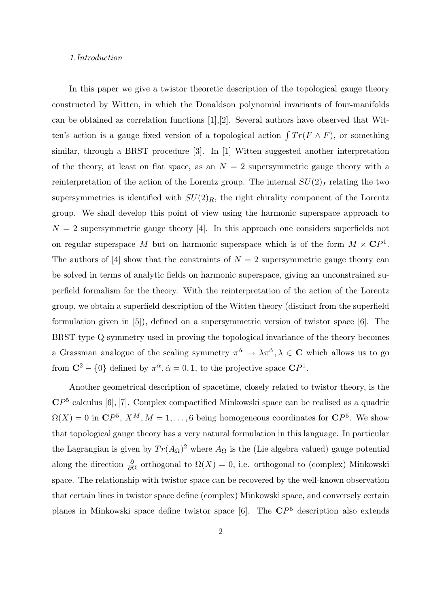#### 1.Introduction

In this paper we give a twistor theoretic description of the topological gauge theory constructed by Witten, in which the Donaldson polynomial invariants of four-manifolds can be obtained as correlation functions [1],[2]. Several authors have observed that Witten's action is a gauge fixed version of a topological action  $\int Tr(F \wedge F)$ , or something similar, through a BRST procedure [3]. In [1] Witten suggested another interpretation of the theory, at least on flat space, as an  $N = 2$  supersymmetric gauge theory with a reinterpretation of the action of the Lorentz group. The internal  $SU(2)<sub>I</sub>$  relating the two supersymmetries is identified with  $SU(2)_R$ , the right chirality component of the Lorentz group. We shall develop this point of view using the harmonic superspace approach to  $N = 2$  supersymmetric gauge theory [4]. In this approach one considers superfields not on regular superspace M but on harmonic superspace which is of the form  $M \times \mathbb{C}P^1$ . The authors of [4] show that the constraints of  $N = 2$  supersymmetric gauge theory can be solved in terms of analytic fields on harmonic superspace, giving an unconstrained superfield formalism for the theory. With the reinterpretation of the action of the Lorentz group, we obtain a superfield description of the Witten theory (distinct from the superfield formulation given in [5]), defined on a supersymmetric version of twistor space [6]. The BRST-type Q-symmetry used in proving the topological invariance of the theory becomes a Grassman analogue of the scaling symmetry  $\pi^{\dot{\alpha}} \to \lambda \pi^{\dot{\alpha}}, \lambda \in \mathbb{C}$  which allows us to go from  $\mathbb{C}^2 - \{0\}$  defined by  $\pi^{\dot{\alpha}}, \dot{\alpha} = 0, 1$ , to the projective space  $\mathbb{C}P^1$ .

Another geometrical description of spacetime, closely related to twistor theory, is the  $\mathbb{C}P^{5}$  calculus [6], [7]. Complex compactified Minkowski space can be realised as a quadric  $\Omega(X) = 0$  in  $\mathbf{C}P^5$ ,  $X^M$ ,  $M = 1, \ldots, 6$  being homogeneous coordinates for  $\mathbf{C}P^5$ . We show that topological gauge theory has a very natural formulation in this language. In particular the Lagrangian is given by  $Tr(A_{\Omega})^2$  where  $A_{\Omega}$  is the (Lie algebra valued) gauge potential along the direction  $\frac{\partial}{\partial \Omega}$  orthogonal to  $\Omega(X) = 0$ , i.e. orthogonal to (complex) Minkowski space. The relationship with twistor space can be recovered by the well-known observation that certain lines in twistor space define (complex) Minkowski space, and conversely certain planes in Minkowski space define twistor space  $[6]$ . The  $\mathbb{C}P^{5}$  description also extends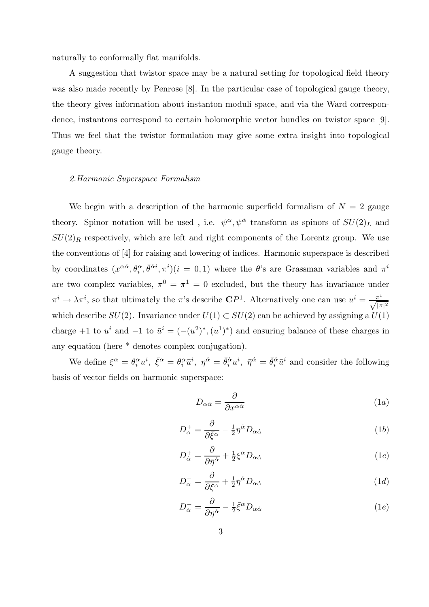naturally to conformally flat manifolds.

A suggestion that twistor space may be a natural setting for topological field theory was also made recently by Penrose [8]. In the particular case of topological gauge theory, the theory gives information about instanton moduli space, and via the Ward correspondence, instantons correspond to certain holomorphic vector bundles on twistor space [9]. Thus we feel that the twistor formulation may give some extra insight into topological gauge theory.

#### 2.Harmonic Superspace Formalism

We begin with a description of the harmonic superfield formalism of  $N = 2$  gauge theory. Spinor notation will be used, i.e.  $\psi^{\alpha}, \psi^{\dot{\alpha}}$  transform as spinors of  $SU(2)_L$  and  $SU(2)_R$  respectively, which are left and right components of the Lorentz group. We use the conventions of [4] for raising and lowering of indices. Harmonic superspace is described by coordinates  $(x^{\alpha\dot{\alpha}}, \theta_i^{\alpha}, \bar{\theta}^{\dot{\alpha}i}, \pi^i)(i = 0, 1)$  where the  $\theta$ 's are Grassman variables and  $\pi^i$ are two complex variables,  $\pi^0 = \pi^1 = 0$  excluded, but the theory has invariance under  $\pi^i \to \lambda \pi^i$ , so that ultimately the  $\pi$ 's describe  $\mathbb{C}P^1$ . Alternatively one can use  $u^i = \frac{\pi^i}{\sqrt{|\pi|^2}}$ which describe  $SU(2)$ . Invariance under  $U(1) \subset SU(2)$  can be achieved by assigning a  $U(1)$ charge +1 to  $u^i$  and -1 to  $\bar{u}^i = (-(u^2)^*, (u^1)^*)$  and ensuring balance of these charges in any equation (here \* denotes complex conjugation).

We define  $\xi^{\alpha} = \theta_i^{\alpha} u^i$ ,  $\bar{\xi}^{\alpha} = \theta_i^{\alpha} \bar{u}^i$ ,  $\eta^{\dot{\alpha}} = \bar{\theta}_i^{\dot{\alpha}} u^i$ ,  $\bar{\eta}^{\dot{\alpha}} = \bar{\theta}_i^{\dot{\alpha}} \bar{u}^i$  and consider the following basis of vector fields on harmonic superspace:

$$
D_{\alpha\dot{\alpha}} = \frac{\partial}{\partial x^{\alpha\dot{\alpha}}}
$$
 (1*a*)

$$
D_{\alpha}^{+} = \frac{\partial}{\partial \bar{\xi}^{\alpha}} - \frac{1}{2} \eta^{\dot{\alpha}} D_{\alpha \dot{\alpha}}
$$
 (1b)

$$
D_{\dot{\alpha}}^{+} = \frac{\partial}{\partial \bar{\eta}^{\dot{\alpha}}} + \frac{1}{2} \xi^{\alpha} D_{\alpha \dot{\alpha}} \tag{1c}
$$

$$
D_{\alpha}^{-} = \frac{\partial}{\partial \xi^{\alpha}} + \frac{1}{2} \bar{\eta}^{\dot{\alpha}} D_{\alpha \dot{\alpha}}
$$
\n(1*d*)

$$
D_{\dot{\alpha}}^{-} = \frac{\partial}{\partial \eta^{\dot{\alpha}}} - \frac{1}{2} \bar{\xi}^{\alpha} D_{\alpha \dot{\alpha}} \tag{1e}
$$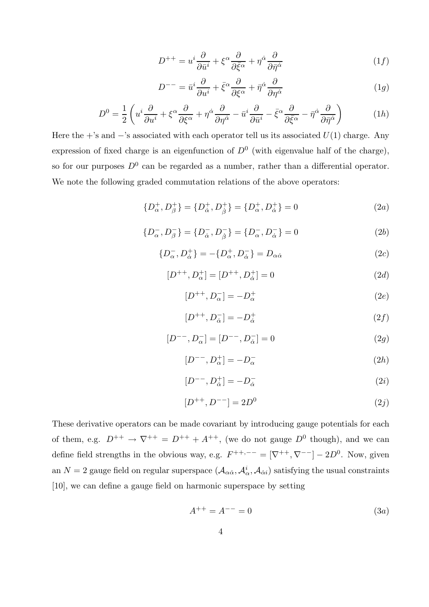$$
D^{++} = u^i \frac{\partial}{\partial \bar{u}^i} + \xi^\alpha \frac{\partial}{\partial \bar{\xi}^\alpha} + \eta^\dot{\alpha} \frac{\partial}{\partial \bar{\eta}^\dot{\alpha}} \tag{1f}
$$

$$
D^{--} = \bar{u}^i \frac{\partial}{\partial u^i} + \bar{\xi}^\alpha \frac{\partial}{\partial \xi^\alpha} + \bar{\eta}^{\dot{\alpha}} \frac{\partial}{\partial \eta^{\dot{\alpha}}}
$$
(1*g*)

$$
D^{0} = \frac{1}{2} \left( u^{i} \frac{\partial}{\partial u^{i}} + \xi^{\alpha} \frac{\partial}{\partial \xi^{\alpha}} + \eta^{\dot{\alpha}} \frac{\partial}{\partial \eta^{\dot{\alpha}}} - \bar{u}^{i} \frac{\partial}{\partial \bar{u}^{i}} - \bar{\xi}^{\alpha} \frac{\partial}{\partial \bar{\xi}^{\alpha}} - \bar{\eta}^{\dot{\alpha}} \frac{\partial}{\partial \bar{\eta}^{\dot{\alpha}}} \right)
$$
(1*h*)

Here the +'s and  $-$ 's associated with each operator tell us its associated  $U(1)$  charge. Any expression of fixed charge is an eigenfunction of  $D^0$  (with eigenvalue half of the charge), so for our purposes  $D^0$  can be regarded as a number, rather than a differential operator. We note the following graded commutation relations of the above operators:

$$
\{D_{\alpha}^{+}, D_{\beta}^{+}\} = \{D_{\dot{\alpha}}^{+}, D_{\dot{\beta}}^{+}\} = \{D_{\alpha}^{+}, D_{\dot{\alpha}}^{+}\} = 0
$$
 (2a)

$$
\{D_{\alpha}^{-}, D_{\beta}^{-}\} = \{D_{\dot{\alpha}}^{-}, D_{\dot{\beta}}^{-}\} = \{D_{\alpha}^{-}, D_{\dot{\alpha}}^{-}\} = 0
$$
\n(2b)

$$
\{D_{\alpha}^{-}, D_{\dot{\alpha}}^{+}\} = -\{D_{\alpha}^{+}, D_{\dot{\alpha}}^{-}\} = D_{\alpha\dot{\alpha}} \tag{2c}
$$

$$
[D^{++}, D^+_{\alpha}] = [D^{++}, D^+_{\dot{\alpha}}] = 0
$$
\n(2d)

$$
[D^{++}, D_{\alpha}^-] = -D_{\alpha}^+ \tag{2e}
$$

$$
[D^{++}, D^-_{\dot{\alpha}}] = -D^+_{\dot{\alpha}} \tag{2f}
$$

$$
[D^{--}, D^-_{\alpha}] = [D^{--}, D^-_{\dot{\alpha}}] = 0 \tag{2g}
$$

$$
[D^{--}, D^+_{\alpha}] = -D^-_{\alpha} \tag{2h}
$$

$$
[D^{--}, D^+_{\dot{\alpha}}] = -D^-_{\dot{\alpha}} \tag{2i}
$$

$$
[D^{++}, D^{--}] = 2D^0 \tag{2j}
$$

These derivative operators can be made covariant by introducing gauge potentials for each of them, e.g.  $D^{++} \rightarrow \nabla^{++} = D^{++} + A^{++}$ , (we do not gauge  $D^0$  though), and we can define field strengths in the obvious way, e.g.  $F^{++,--} = [\nabla^{++}, \nabla^{--}] - 2D^0$ . Now, given an  $N=2$  gauge field on regular superspace  $(\mathcal{A}_{\alpha\dot{\alpha}}, \mathcal{A}_{\dot{\alpha}}, \mathcal{A}_{\dot{\alpha}i})$  satisfying the usual constraints [10], we can define a gauge field on harmonic superspace by setting

$$
A^{++} = A^{--} = 0 \tag{3a}
$$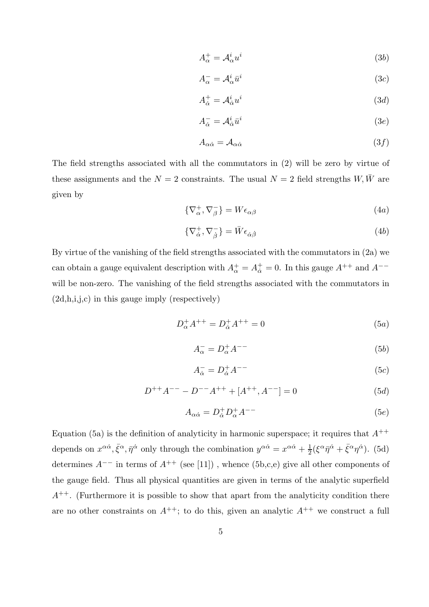$$
A_{\alpha}^{+} = \mathcal{A}_{\alpha}^{i} u^{i} \tag{3b}
$$

$$
A_{\alpha}^{-} = \mathcal{A}_{\alpha}^{i} \bar{u}^{i} \tag{3c}
$$

$$
A_{\dot{\alpha}}^+ = \mathcal{A}_{\dot{\alpha}}^i u^i \tag{3d}
$$

$$
A_{\dot{\alpha}}^{-} = \mathcal{A}_{\dot{\alpha}}^{i} \bar{u}^{i} \tag{3e}
$$

$$
A_{\alpha\dot{\alpha}} = \mathcal{A}_{\alpha\dot{\alpha}} \tag{3f}
$$

The field strengths associated with all the commutators in (2) will be zero by virtue of these assignments and the  $N = 2$  constraints. The usual  $N = 2$  field strengths  $W, \bar{W}$  are given by

$$
\{\nabla^+_{\alpha}, \nabla^-_{\beta}\} = W \epsilon_{\alpha\beta} \tag{4a}
$$

$$
\{\nabla^+_{\dot{\alpha}}, \nabla^-_{\dot{\beta}}\} = \bar{W}\epsilon_{\dot{\alpha}\dot{\beta}}\tag{4b}
$$

By virtue of the vanishing of the field strengths associated with the commutators in (2a) we can obtain a gauge equivalent description with  $A^+_{\alpha} = A^+_{\dot{\alpha}} = 0$ . In this gauge  $A^{++}$  and  $A^{--}$ will be non-zero. The vanishing of the field strengths associated with the commutators in (2d,h,i,j,c) in this gauge imply (respectively)

$$
D_{\alpha}^{+}A^{++} = D_{\dot{\alpha}}^{+}A^{++} = 0 \tag{5a}
$$

$$
A_{\alpha}^{-} = D_{\alpha}^{+} A^{--}
$$
 (5b)

$$
A_{\dot{\alpha}}^{-} = D_{\dot{\alpha}}^{+} A^{-} \tag{5c}
$$

$$
D^{++}A^{--} - D^{--}A^{++} + [A^{++}, A^{--}] = 0
$$
\n(5d)

$$
A_{\alpha\dot{\alpha}} = D^+_{\dot{\alpha}} D^+_{\alpha} A^{--} \tag{5e}
$$

Equation (5a) is the definition of analyticity in harmonic superspace; it requires that  $A^{++}$ depends on  $x^{\alpha\dot{\alpha}}, \bar{\xi}^{\alpha}, \bar{\eta}^{\dot{\alpha}}$  only through the combination  $y^{\alpha\dot{\alpha}} = x^{\alpha\dot{\alpha}} + \frac{1}{2}$  $\frac{1}{2}(\xi^{\alpha}\bar{\eta}^{\dot{\alpha}}+\bar{\xi}^{\alpha}\eta^{\dot{\alpha}}).$  (5d) determines  $A^{--}$  in terms of  $A^{++}$  (see [11]), whence (5b,c,e) give all other components of the gauge field. Thus all physical quantities are given in terms of the analytic superfield  $A^{++}$ . (Furthermore it is possible to show that apart from the analyticity condition there are no other constraints on  $A^{++}$ ; to do this, given an analytic  $A^{++}$  we construct a full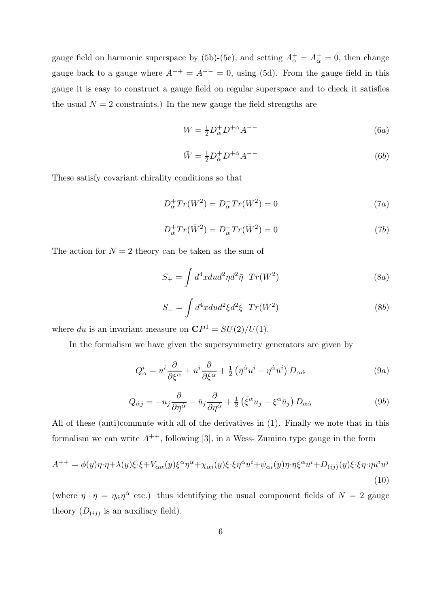gauge field on harmonic superspace by (5b)-(5e), and setting  $A^+_{\alpha} = A^+_{\dot{\alpha}} = 0$ , then change gauge back to a gauge where  $A^{++} = A^{--} = 0$ , using (5d). From the gauge field in this gauge it is easy to construct a gauge field on regular superspace and to check it satisfies the usual  $N = 2$  constraints.) In the new gauge the field strengths are

$$
W = \frac{1}{2}D_{\alpha}^{+}D^{+\alpha}A^{--} \tag{6a}
$$

$$
\bar{W} = \frac{1}{2} D_{\dot{\alpha}}^+ D^{+\dot{\alpha}} A^{--} \tag{6b}
$$

These satisfy covariant chirality conditions so that

$$
D_{\alpha}^+ Tr(W^2) = D_{\alpha}^- Tr(W^2) = 0 \tag{7a}
$$

$$
D_{\dot{\alpha}}^{+}Tr(\bar{W}^{2}) = D_{\dot{\alpha}}^{-}Tr(\bar{W}^{2}) = 0
$$
\n(7b)

The action for  $N = 2$  theory can be taken as the sum of

$$
S_{+} = \int d^{4}x du d^{2}\eta d^{2}\bar{\eta} \ Tr(W^{2})
$$
\n(8a)

$$
S_{-} = \int d^4x du d^2\xi d^2\bar{\xi} \ Tr(\bar{W}^2)
$$
\n(8b)

where du is an invariant measure on  $\mathbb{C}P^1 = SU(2)/U(1)$ .

In the formalism we have given the supersymmetry generators are given by

$$
Q^i_{\alpha} = u^i \frac{\partial}{\partial \xi^{\alpha}} + \bar{u}^i \frac{\partial}{\partial \bar{\xi}^{\alpha}} + \frac{1}{2} \left( \bar{\eta}^{\dot{\alpha}} u^i - \eta^{\dot{\alpha}} \bar{u}^i \right) D_{\alpha \dot{\alpha}} \tag{9a}
$$

$$
Q_{\dot{\alpha}j} = -u_j \frac{\partial}{\partial \eta^{\dot{\alpha}}} - \bar{u}_j \frac{\partial}{\partial \bar{\eta}^{\dot{\alpha}}} + \frac{1}{2} \left( \bar{\xi}^{\alpha} u_j - \xi^{\alpha} \bar{u}_j \right) D_{\alpha \dot{\alpha}} \tag{9b}
$$

All of these (anti)commute with all of the derivatives in (1). Finally we note that in this formalism we can write  $A^{++}$ , following [3], in a Wess- Zumino type gauge in the form

$$
A^{++} = \phi(y)\eta \cdot \eta + \lambda(y)\xi \cdot \xi + V_{\alpha\dot{\alpha}}(y)\xi^{\alpha}\eta^{\dot{\alpha}} + \chi_{\dot{\alpha}i}(y)\xi \cdot \xi\eta^{\dot{\alpha}}\bar{u}^i + \psi_{\alpha i}(y)\eta \cdot \eta \xi^{\alpha}\bar{u}^i + D_{(ij)}(y)\xi \cdot \xi\eta \cdot \eta\bar{u}^i\bar{u}^j
$$
\n(10)

(where  $\eta \cdot \eta = \eta_{\dot{\alpha}} \eta^{\dot{\alpha}}$  etc.) thus identifying the usual component fields of  $N = 2$  gauge theory  $(D_{(ij)})$  is an auxiliary field).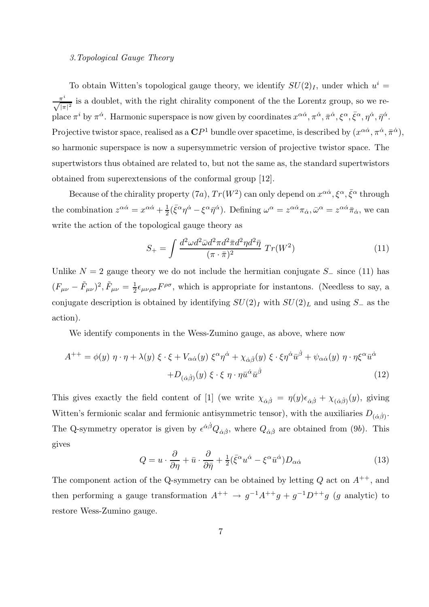#### 3.Topological Gauge Theory

To obtain Witten's topological gauge theory, we identify  $SU(2)<sub>I</sub>$ , under which  $u<sup>i</sup> =$  $\frac{\pi^i}{\sqrt{|\pi|^2}}$  is a doublet, with the right chirality component of the the Lorentz group, so we replace  $\pi^i$  by  $\pi^{\dot{\alpha}}$ . Harmonic superspace is now given by coordinates  $x^{\alpha\dot{\alpha}}, \pi^{\dot{\alpha}}, \bar{\pi}^{\dot{\alpha}}, \xi^{\alpha}, \bar{\xi}^{\alpha}, \eta^{\dot{\alpha}}, \bar{\eta}^{\dot{\alpha}}$ . Projective twistor space, realised as a  $\mathbf{C}P^1$  bundle over spacetime, is described by  $(x^{\alpha\dot{\alpha}}, \pi^{\dot{\alpha}}, \bar{\pi}^{\dot{\alpha}})$ , so harmonic superspace is now a supersymmetric version of projective twistor space. The supertwistors thus obtained are related to, but not the same as, the standard supertwistors obtained from superextensions of the conformal group [12].

Because of the chirality property  $(7a)$ ,  $Tr(W^2)$  can only depend on  $x^{\alpha\dot{\alpha}}, \xi^{\alpha}, \bar{\xi}^{\alpha}$  through the combination  $z^{\alpha\dot{\alpha}} = x^{\alpha\dot{\alpha}} + \frac{1}{2}$  $\frac{1}{2}(\bar{\xi}^{\alpha}\eta^{\dot{\alpha}}-\xi^{\alpha}\bar{\eta}^{\dot{\alpha}}).$  Defining  $\omega^{\alpha}=z^{\alpha\dot{\alpha}}\pi_{\dot{\alpha}}, \bar{\omega}^{\alpha}=z^{\alpha\dot{\alpha}}\bar{\pi}_{\dot{\alpha}},$  we can write the action of the topological gauge theory as

$$
S_{+} = \int \frac{d^2 \omega d^2 \bar{\omega} d^2 \pi d^2 \bar{\pi} d^2 \eta d^2 \bar{\eta}}{(\pi \cdot \bar{\pi})^2} \ Tr(W^2)
$$
(11)

Unlike  $N = 2$  gauge theory we do not include the hermitian conjugate  $S_-\$  since (11) has  $(F_{\mu\nu} - \tilde{F}_{\mu\nu})^2, \tilde{F}_{\mu\nu} = \frac{1}{2}$  $\frac{1}{2} \epsilon_{\mu\nu\rho\sigma} F^{\rho\sigma}$ , which is appropriate for instantons. (Needless to say, a conjugate description is obtained by identifying  $SU(2)<sub>I</sub>$  with  $SU(2)<sub>L</sub>$  and using S<sub>−</sub> as the action).

We identify components in the Wess-Zumino gauge, as above, where now

$$
A^{++} = \phi(y) \eta \cdot \eta + \lambda(y) \xi \cdot \xi + V_{\alpha\dot{\alpha}}(y) \xi^{\alpha}\eta^{\dot{\alpha}} + \chi_{\dot{\alpha}\dot{\beta}}(y) \xi \cdot \xi \eta^{\dot{\alpha}} \bar{u}^{\dot{\beta}} + \psi_{\alpha\dot{\alpha}}(y) \eta \cdot \eta \xi^{\alpha} \bar{u}^{\dot{\alpha}} + D_{(\dot{\alpha}\dot{\beta})}(y) \xi \cdot \xi \eta \cdot \eta \bar{u}^{\dot{\alpha}} \bar{u}^{\dot{\beta}} \tag{12}
$$

This gives exactly the field content of [1] (we write  $\chi_{\dot{\alpha}\dot{\beta}} = \eta(y)\epsilon_{\dot{\alpha}\dot{\beta}} + \chi_{(\dot{\alpha}\dot{\beta})}(y)$ , giving Witten's fermionic scalar and fermionic antisymmetric tensor), with the auxiliaries  $D_{(\dot{\alpha}\dot{\beta})}$ . The Q-symmetry operator is given by  $\epsilon^{\dot{\alpha}\dot{\beta}}Q_{\dot{\alpha}\dot{\beta}}$ , where  $Q_{\dot{\alpha}\dot{\beta}}$  are obtained from (9b). This gives

$$
Q = u \cdot \frac{\partial}{\partial \eta} + \bar{u} \cdot \frac{\partial}{\partial \bar{\eta}} + \frac{1}{2} (\bar{\xi}^{\alpha} u^{\dot{\alpha}} - \xi^{\alpha} \bar{u}^{\dot{\alpha}}) D_{\alpha \dot{\alpha}} \tag{13}
$$

The component action of the Q-symmetry can be obtained by letting  $Q$  act on  $A^{++}$ , and then performing a gauge transformation  $A^{++} \rightarrow g^{-1}A^{++}g + g^{-1}D^{++}g$  (g analytic) to restore Wess-Zumino gauge.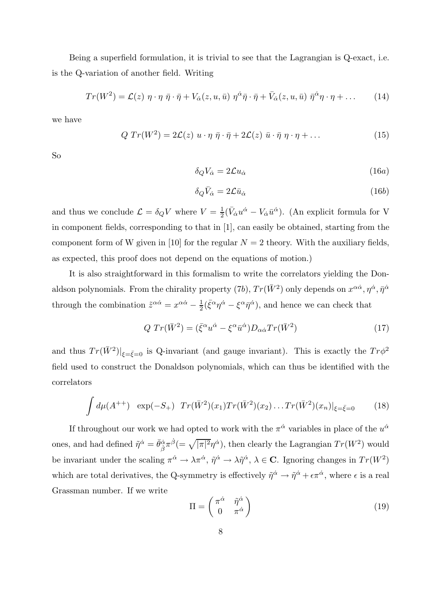Being a superfield formulation, it is trivial to see that the Lagrangian is Q-exact, i.e. is the Q-variation of another field. Writing

$$
Tr(W^{2}) = \mathcal{L}(z) \eta \cdot \eta \bar{\eta} \cdot \bar{\eta} + V_{\dot{\alpha}}(z, u, \bar{u}) \eta^{\dot{\alpha}} \bar{\eta} \cdot \bar{\eta} + \bar{V}_{\dot{\alpha}}(z, u, \bar{u}) \bar{\eta}^{\dot{\alpha}} \eta \cdot \eta + \dots \qquad (14)
$$

we have

$$
Q Tr(W2) = 2\mathcal{L}(z) u \cdot \eta \bar{\eta} \cdot \bar{\eta} + 2\mathcal{L}(z) \bar{u} \cdot \bar{\eta} \eta \cdot \eta + ... \qquad (15)
$$

So

$$
\delta_Q V_{\dot{\alpha}} = 2\mathcal{L} u_{\dot{\alpha}} \tag{16a}
$$

$$
\delta_Q \bar{V}_{\dot{\alpha}} = 2\mathcal{L}\bar{u}_{\dot{\alpha}} \tag{16b}
$$

and thus we conclude  $\mathcal{L} = \delta_Q V$  where  $V = \frac{1}{2}$  $\frac{1}{2}(\bar{V}_{\dot{\alpha}}u^{\dot{\alpha}} - V_{\dot{\alpha}}\bar{u}^{\dot{\alpha}})$ . (An explicit formula for V in component fields, corresponding to that in [1], can easily be obtained, starting from the component form of W given in [10] for the regular  $N = 2$  theory. With the auxiliary fields, as expected, this proof does not depend on the equations of motion.)

It is also straightforward in this formalism to write the correlators yielding the Donaldson polynomials. From the chirality property  $(7b)$ ,  $Tr(\bar{W}^2)$  only depends on  $x^{\alpha\dot{\alpha}}, \eta^{\dot{\alpha}}, \bar{\eta}^{\dot{\alpha}}$ through the combination  $\tilde{z}^{\alpha \dot{\alpha}} = x^{\alpha \dot{\alpha}} - \frac{1}{2}$  $\frac{1}{2}(\bar{\xi}^{\alpha}\eta^{\dot{\alpha}} - {\xi}^{\alpha}\bar{\eta}^{\dot{\alpha}}),$  and hence we can check that

$$
Q Tr(\bar{W}^2) = (\bar{\xi}^{\alpha} u^{\dot{\alpha}} - \xi^{\alpha} \bar{u}^{\dot{\alpha}}) D_{\alpha \dot{\alpha}} Tr(\bar{W}^2)
$$
\n(17)

and thus  $Tr(\bar{W}^2)|_{\xi=\bar{\xi}=0}$  is Q-invariant (and gauge invariant). This is exactly the  $Tr\phi^2$ field used to construct the Donaldson polynomials, which can thus be identified with the correlators

$$
\int d\mu(A^{++}) \exp(-S_+) \ Tr(\bar{W}^2)(x_1) Tr(\bar{W}^2)(x_2) \dots Tr(\bar{W}^2)(x_n)|_{\xi = \bar{\xi} = 0}
$$
 (18)

If throughout our work we had opted to work with the  $\pi^{\dot{\alpha}}$  variables in place of the  $u^{\dot{\alpha}}$ ones, and had defined  $\tilde{\eta}^{\dot{\alpha}} = \bar{\theta}^{\dot{\alpha}}_{\dot{\beta}} \pi^{\dot{\beta}} (= \sqrt{|\pi|^2} \eta^{\dot{\alpha}})$ , then clearly the Lagrangian  $Tr(W^2)$  would be invariant under the scaling  $\pi^{\dot{\alpha}} \to \lambda \pi^{\dot{\alpha}}, \tilde{\eta}^{\dot{\alpha}} \to \lambda \tilde{\eta}^{\dot{\alpha}}, \lambda \in \mathbb{C}$ . Ignoring changes in  $Tr(W^2)$ which are total derivatives, the Q-symmetry is effectively  $\tilde{\eta}^{\dot{\alpha}} \to \tilde{\eta}^{\dot{\alpha}} + \epsilon \pi^{\dot{\alpha}}$ , where  $\epsilon$  is a real Grassman number. If we write

$$
\Pi = \begin{pmatrix} \pi^{\dot{\alpha}} & \tilde{\eta}^{\dot{\alpha}} \\ 0 & \pi^{\dot{\alpha}} \end{pmatrix} \tag{19}
$$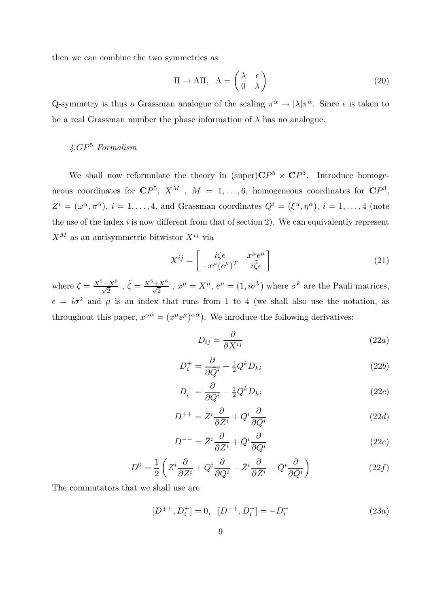then we can combine the two symmetries as

$$
\Pi \to \Lambda \Pi, \quad \Lambda = \begin{pmatrix} \lambda & \epsilon \\ 0 & \lambda \end{pmatrix} \tag{20}
$$

Q-symmetry is thus a Grassman analogue of the scaling  $\pi^{\dot{\alpha}} \to |\lambda|\pi^{\dot{\alpha}}$ . Since  $\epsilon$  is taken to be a real Grassman number the phase information of  $\lambda$  has no analogue.

### $\angle$ 4.CP<sup>5</sup> Formalism

We shall now reformulate the theory in  $(\text{super})\mathbb{C}P^5 \times \mathbb{C}P^3$ . Introduce homogeneous coordinates for  $\mathbb{C}P^5$ ,  $X^M$ ,  $M = 1, \ldots, 6$ , homogeneous coordinates for  $\mathbb{C}P^3$ ,  $Z^i = (\omega^{\alpha}, \pi^{\dot{\alpha}}), i = 1, \ldots, 4$ , and Grassman coordinates  $Q^i = (\xi^{\alpha}, \eta^{\dot{\alpha}}), i = 1, \ldots, 4$  (note the use of the index  $i$  is now different from that of section 2). We can equivalently represent  $X^M$  as an antisymmetric bitwistor  $X^{ij}$  via

$$
X^{ij} = \begin{bmatrix} i\zeta \epsilon & x^{\mu} e^{\mu} \\ -x^{\mu} (e^{\mu})^T & i\tilde{\zeta} \epsilon \end{bmatrix}
$$
 (21)

where  $\zeta = \frac{X^5 - X^6}{\sqrt{2}}$ ,  $\tilde{\zeta} = \frac{X^5 + X^6}{\sqrt{2}}$ ,  $x^{\mu} = X^{\mu}$ ,  $e^{\mu} = (1, i\sigma^k)$  where  $\sigma^k$  are the Pauli matrices,  $\epsilon = i\sigma^2$  and  $\mu$  is an index that runs from 1 to 4 (we shall also use the notation, as throughout this paper,  $x^{\alpha\dot{\alpha}} = (x^{\mu}e^{\mu})^{\alpha\dot{\alpha}}$ . We inroduce the following derivatives:

$$
D_{ij} = \frac{\partial}{\partial X^{ij}}\tag{22a}
$$

$$
D_i^+ = \frac{\partial}{\partial \bar{Q}^i} + \frac{1}{2} Q^k D_{ki}
$$
\n<sup>(22b)</sup>

$$
D_i^- = \frac{\partial}{\partial Q^i} - \frac{1}{2} \bar{Q}^k D_{ki} \tag{22c}
$$

$$
D^{++} = Z^i \frac{\partial}{\partial \bar{Z}^i} + Q^i \frac{\partial}{\partial \bar{Q}^i}
$$
 (22*d*)

$$
D^{--} = \bar{Z}^i \frac{\partial}{\partial Z^i} + \bar{Q}^i \frac{\partial}{\partial Q^i}
$$
 (22*e*)

$$
D^{0} = \frac{1}{2} \left( Z^{i} \frac{\partial}{\partial Z^{i}} + Q^{i} \frac{\partial}{\partial Q^{i}} - \bar{Z}^{i} \frac{\partial}{\partial \bar{Z}^{i}} - \bar{Q}^{i} \frac{\partial}{\partial \bar{Q}^{i}} \right)
$$
(22f)

The commutators that we shall use are

$$
[D^{++}, D_i^+] = 0, \quad [D^{++}, D_i^-] = -D_i^+ \tag{23a}
$$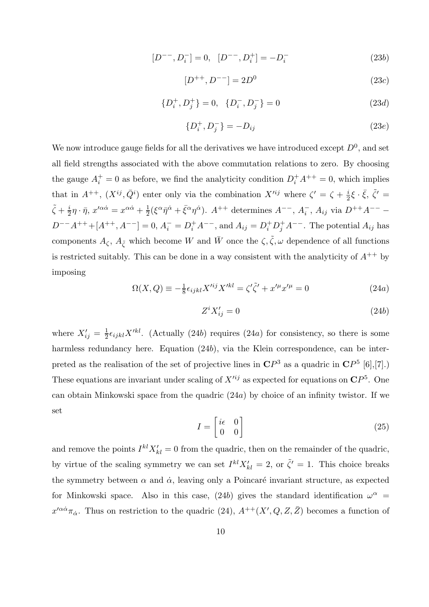$$
[D^{--}, D_i^-] = 0, \quad [D^{--}, D_i^+] = -D_i^- \tag{23b}
$$

$$
[D^{++}, D^{--}] = 2D^0 \tag{23c}
$$

$$
\{D_i^+, D_j^+\} = 0, \quad \{D_i^-, D_j^-\} = 0 \tag{23d}
$$

$$
\{D_i^+, D_j^-\} = -D_{ij} \tag{23e}
$$

We now introduce gauge fields for all the derivatives we have introduced except  $D^0$ , and set all field strengths associated with the above commutation relations to zero. By choosing the gauge  $A_i^+ = 0$  as before, we find the analyticity condition  $D_i^+ A^{++} = 0$ , which implies that in  $A^{++}$ ,  $(X^{ij}, \bar{Q}^i)$  enter only via the combination  $X'^{ij}$  where  $\zeta' = \zeta + \frac{i}{2}$  $\frac{i}{2}\xi \cdot \bar{\xi}, \ \tilde{\zeta}' =$  $\tilde{\zeta}+\frac{i}{2}$  $\frac{i}{2}\eta \cdot \bar{\eta}, x^{\prime \alpha \dot{\alpha}} = x^{\alpha \dot{\alpha}} + \frac{1}{2}$  $\frac{1}{2}(\xi^{\alpha}\bar{\eta}^{\dot{\alpha}}+\bar{\xi}^{\alpha}\eta^{\dot{\alpha}}).$   $A^{++}$  determines  $A^{--}$ ,  $A_i^-$ ,  $A_{ij}$  via  $D^{++}A^{--}$  –  $D^{--}A^{++} + [A^{++}, A^{--}] = 0, A_i^- = D_i^+A^{--}$ , and  $A_{ij} = D_i^+D_j^+A^{--}$ . The potential  $A_{ij}$  has components  $A_{\zeta}$ ,  $A_{\tilde{\zeta}}$  which become W and  $\bar{W}$  once the  $\zeta, \tilde{\zeta}, \omega$  dependence of all functions is restricted suitably. This can be done in a way consistent with the analyticity of  $A^{++}$  by imposing

$$
\Omega(X,Q) \equiv -\frac{1}{8}\epsilon_{ijkl}X^{\prime ij}X^{\prime kl} = \zeta'\tilde{\zeta}'+x^{\prime \mu}x^{\prime \mu} = 0
$$
\n(24a)

$$
Z^i X'_{ij} = 0 \tag{24b}
$$

where  $X'_{ij} = \frac{1}{2}$  $\frac{1}{2}\epsilon_{ijkl}X'^{kl}$ . (Actually (24b) requires (24a) for consistency, so there is some harmless redundancy here. Equation (24b), via the Klein correspondence, can be interpreted as the realisation of the set of projective lines in  $\mathbb{C}P^3$  as a quadric in  $\mathbb{C}P^5$  [6],[7].) These equations are invariant under scaling of  $X^{\prime ij}$  as expected for equations on  $\mathbb{C}P^{5}$ . One can obtain Minkowski space from the quadric (24a) by choice of an infinity twistor. If we set

$$
I = \begin{bmatrix} i\epsilon & 0 \\ 0 & 0 \end{bmatrix} \tag{25}
$$

and remove the points  $I^{kl}X'_{kl} = 0$  from the quadric, then on the remainder of the quadric, by virtue of the scaling symmetry we can set  $I^{kl}X'_{kl} = 2$ , or  $\tilde{\zeta}' = 1$ . This choice breaks the symmetry between  $\alpha$  and  $\dot{\alpha}$ , leaving only a Poincaré invariant structure, as expected for Minkowski space. Also in this case, (24b) gives the standard identification  $\omega^{\alpha}$  =  $x'^{\alpha\dot{\alpha}}\pi_{\dot{\alpha}}$ . Thus on restriction to the quadric (24),  $A^{++}(X',Q,Z,\bar{Z})$  becomes a function of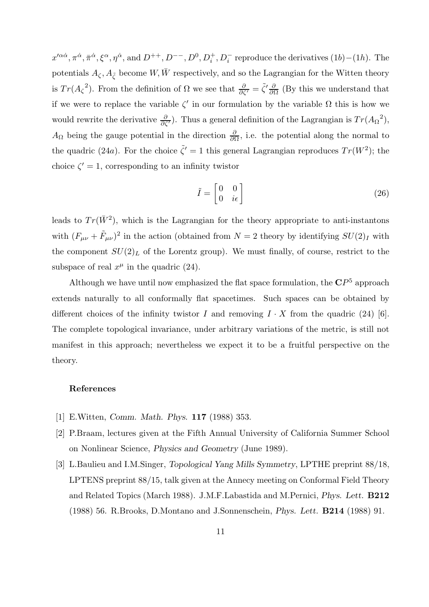$x'^{\alpha\dot{\alpha}}, \pi^{\dot{\alpha}}, \xi^{\alpha}, \eta^{\dot{\alpha}}, \text{ and } D^{++}, D^{--}, D^0, D_i^+, D_i^-$  reproduce the derivatives  $(1b) - (1h)$ . The potentials  $A_{\zeta}, A_{\tilde{\zeta}}$  become  $W, \bar{W}$  respectively, and so the Lagrangian for the Witten theory is  $Tr(A_{\zeta}^2)$ . From the definition of  $\Omega$  we see that  $\frac{\partial}{\partial \zeta'} = \tilde{\zeta}' \frac{\partial}{\partial \Omega}$  (By this we understand that if we were to replace the variable  $\zeta'$  in our formulation by the variable  $\Omega$  this is how we would rewrite the derivative  $\frac{\partial}{\partial \zeta'}$ . Thus a general definition of the Lagrangian is  $Tr(A_{\Omega}^2)$ ,  $A_{\Omega}$  being the gauge potential in the direction  $\frac{\partial}{\partial \Omega}$ , i.e. the potential along the normal to the quadric (24a). For the choice  $\tilde{\zeta}' = 1$  this general Lagrangian reproduces  $Tr(W^2)$ ; the choice  $\zeta' = 1$ , corresponding to an infinity twistor

$$
\tilde{I} = \begin{bmatrix} 0 & 0 \\ 0 & i\epsilon \end{bmatrix} \tag{26}
$$

leads to  $Tr(\bar{W}^2)$ , which is the Lagrangian for the theory appropriate to anti-instantons with  $(F_{\mu\nu} + \tilde{F}_{\mu\nu})^2$  in the action (obtained from  $N = 2$  theory by identifying  $SU(2)_I$  with the component  $SU(2)_L$  of the Lorentz group). We must finally, of course, restrict to the subspace of real  $x^{\mu}$  in the quadric (24).

Although we have until now emphasized the flat space formulation, the  $\mathbb{C}P^{5}$  approach extends naturally to all conformally flat spacetimes. Such spaces can be obtained by different choices of the infinity twistor I and removing  $I \cdot X$  from the quadric (24) [6]. The complete topological invariance, under arbitrary variations of the metric, is still not manifest in this approach; nevertheless we expect it to be a fruitful perspective on the theory.

#### References

- [1] E.Witten, Comm. Math. Phys. 117 (1988) 353.
- [2] P.Braam, lectures given at the Fifth Annual University of California Summer School on Nonlinear Science, Physics and Geometry (June 1989).
- [3] L.Baulieu and I.M.Singer, Topological Yang Mills Symmetry, LPTHE preprint 88/18, LPTENS preprint 88/15, talk given at the Annecy meeting on Conformal Field Theory and Related Topics (March 1988). J.M.F.Labastida and M.Pernici, Phys. Lett. B212 (1988) 56. R.Brooks, D.Montano and J.Sonnenschein, Phys. Lett. B214 (1988) 91.